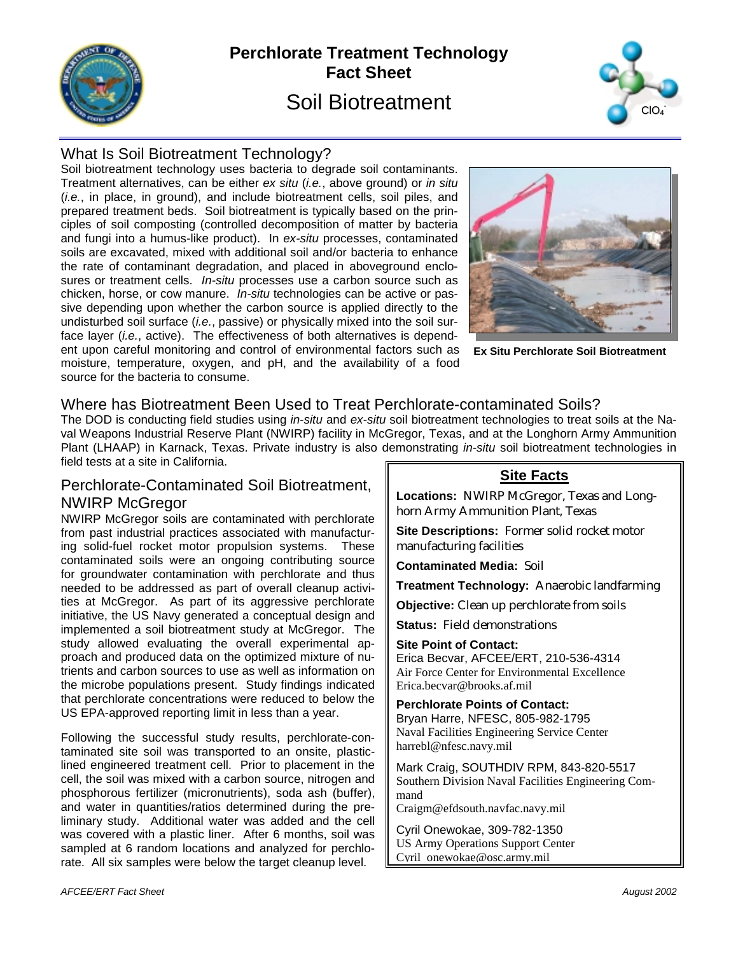

# **Perchlorate Treatment Technology Fact Sheet**  Soil Biotreatment



## What Is Soil Biotreatment Technology?

Soil biotreatment technology uses bacteria to degrade soil contaminants. Treatment alternatives, can be either *ex situ* (*i.e.*, above ground) or *in situ* (*i.e.*, in place, in ground), and include biotreatment cells, soil piles, and prepared treatment beds. Soil biotreatment is typically based on the principles of soil composting (controlled decomposition of matter by bacteria and fungi into a humus-like product). In *ex-situ* processes, contaminated soils are excavated, mixed with additional soil and/or bacteria to enhance the rate of contaminant degradation, and placed in aboveground enclosures or treatment cells. *In-situ* processes use a carbon source such as chicken, horse, or cow manure. *In-situ* technologies can be active or passive depending upon whether the carbon source is applied directly to the undisturbed soil surface (*i.e.*, passive) or physically mixed into the soil surface layer (*i.e.*, active). The effectiveness of both alternatives is dependent upon careful monitoring and control of environmental factors such as moisture, temperature, oxygen, and pH, and the availability of a food source for the bacteria to consume.



**Ex Situ Perchlorate Soil Biotreatment**

#### Where has Biotreatment Been Used to Treat Perchlorate-contaminated Soils?

The DOD is conducting field studies using *in-situ* and *ex-situ* soil biotreatment technologies to treat soils at the Naval Weapons Industrial Reserve Plant (NWIRP) facility in McGregor, Texas, and at the Longhorn Army Ammunition Plant (LHAAP) in Karnack, Texas. Private industry is also demonstrating *in-situ* soil biotreatment technologies in field tests at a site in California.

## Perchlorate-Contaminated Soil Biotreatment, NWIRP McGregor

NWIRP McGregor soils are contaminated with perchlorate from past industrial practices associated with manufacturing solid-fuel rocket motor propulsion systems. These contaminated soils were an ongoing contributing source for groundwater contamination with perchlorate and thus needed to be addressed as part of overall cleanup activities at McGregor. As part of its aggressive perchlorate initiative, the US Navy generated a conceptual design and implemented a soil biotreatment study at McGregor. The study allowed evaluating the overall experimental approach and produced data on the optimized mixture of nutrients and carbon sources to use as well as information on the microbe populations present. Study findings indicated that perchlorate concentrations were reduced to below the US EPA-approved reporting limit in less than a year.

Following the successful study results, perchlorate-contaminated site soil was transported to an onsite, plasticlined engineered treatment cell. Prior to placement in the cell, the soil was mixed with a carbon source, nitrogen and phosphorous fertilizer (micronutrients), soda ash (buffer), and water in quantities/ratios determined during the preliminary study. Additional water was added and the cell was covered with a plastic liner. After 6 months, soil was sampled at 6 random locations and analyzed for perchlorate. All six samples were below the target cleanup level.

## **Site Facts**

**Locations:** NWIRP McGregor, Texas and Longhorn Army Ammunition Plant, Texas

**Site Descriptions:** Former solid rocket motor manufacturing facilities

**Contaminated Media:** Soil

**Treatment Technology:** Anaerobic landfarming

**Objective:** Clean up perchlorate from soils

**Status:** Field demonstrations

**Site Point of Contact:** Erica Becvar, AFCEE/ERT, 210-536-4314 Air Force Center for Environmental Excellence Erica.becvar@brooks.af.mil

**Perchlorate Points of Contact:** Bryan Harre, NFESC, 805-982-1795 Naval Facilities Engineering Service Center harrebl@nfesc.navy.mil

Mark Craig, SOUTHDIV RPM, 843-820-5517 Southern Division Naval Facilities Engineering Command

Craigm@efdsouth.navfac.navy.mil

Cyril Onewokae, 309-782-1350 US Army Operations Support Center Cyril onewokae@osc.army.mil